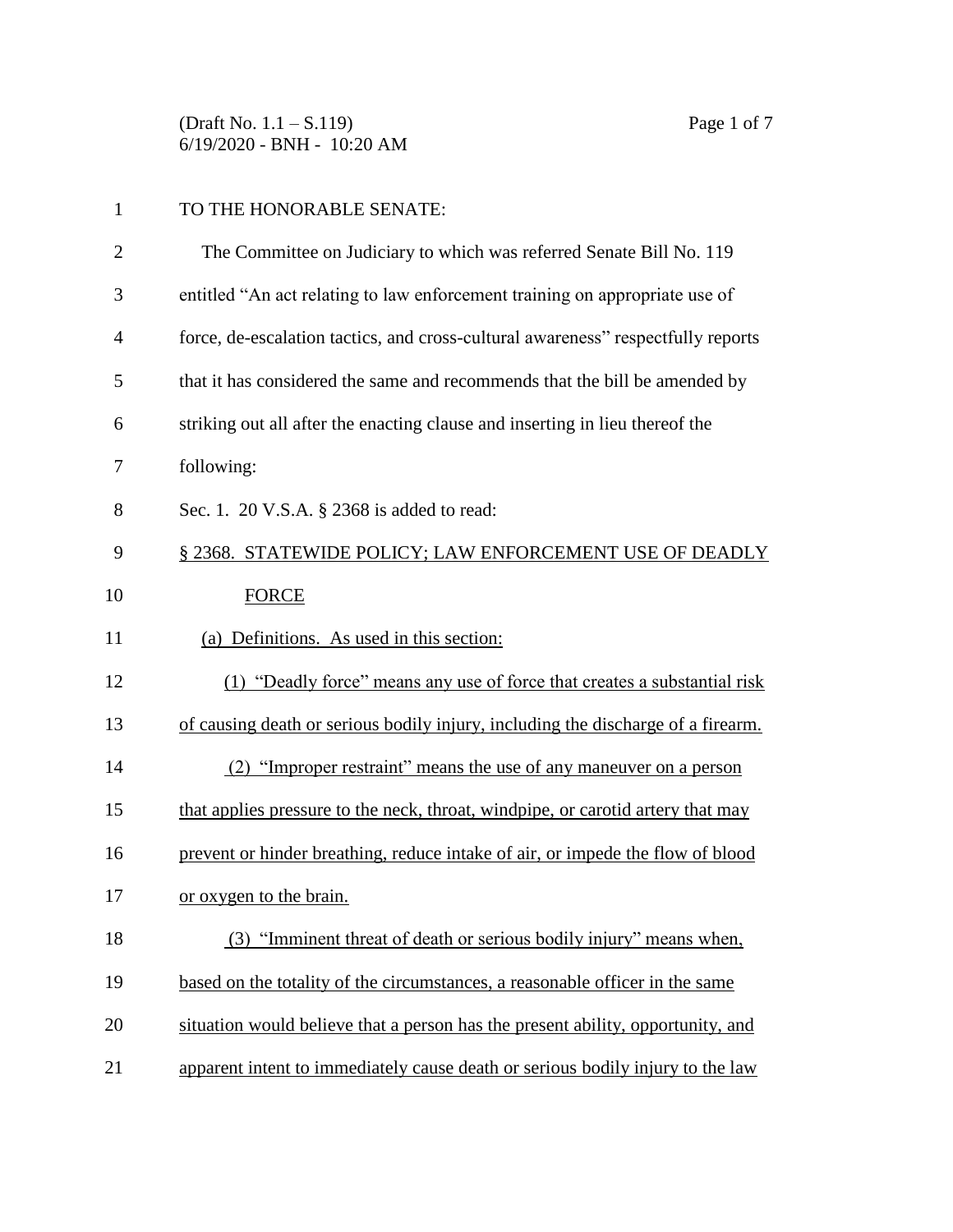(Draft No. 1.1 – S.119) Page 1 of 7 6/19/2020 - BNH - 10:20 AM

| TO THE HONORABLE SENATE:                                             |
|----------------------------------------------------------------------|
| The Committee on Judiciary to which was referred Senate Bill No. 119 |

| 3              | entitled "An act relating to law enforcement training on appropriate use of      |
|----------------|----------------------------------------------------------------------------------|
| $\overline{4}$ | force, de-escalation tactics, and cross-cultural awareness" respectfully reports |
| 5              | that it has considered the same and recommends that the bill be amended by       |
| 6              | striking out all after the enacting clause and inserting in lieu thereof the     |
| 7              | following:                                                                       |
| 8              | Sec. 1. 20 V.S.A. § 2368 is added to read:                                       |
| 9              | § 2368. STATEWIDE POLICY; LAW ENFORCEMENT USE OF DEADLY                          |
| 10             | <b>FORCE</b>                                                                     |
| 11             | (a) Definitions. As used in this section:                                        |
| 12             | (1) "Deadly force" means any use of force that creates a substantial risk        |
| 13             | of causing death or serious bodily injury, including the discharge of a firearm. |
| 14             | (2) "Improper restraint" means the use of any maneuver on a person               |
| 15             | that applies pressure to the neck, throat, windpipe, or carotid artery that may  |
| 16             | prevent or hinder breathing, reduce intake of air, or impede the flow of blood   |
| 17             | or oxygen to the brain.                                                          |
| 18             | (3) "Imminent threat of death or serious bodily injury" means when,              |
| 19             | based on the totality of the circumstances, a reasonable officer in the same     |
| 20             | situation would believe that a person has the present ability, opportunity, and  |
|                |                                                                                  |

21 apparent intent to immediately cause death or serious bodily injury to the law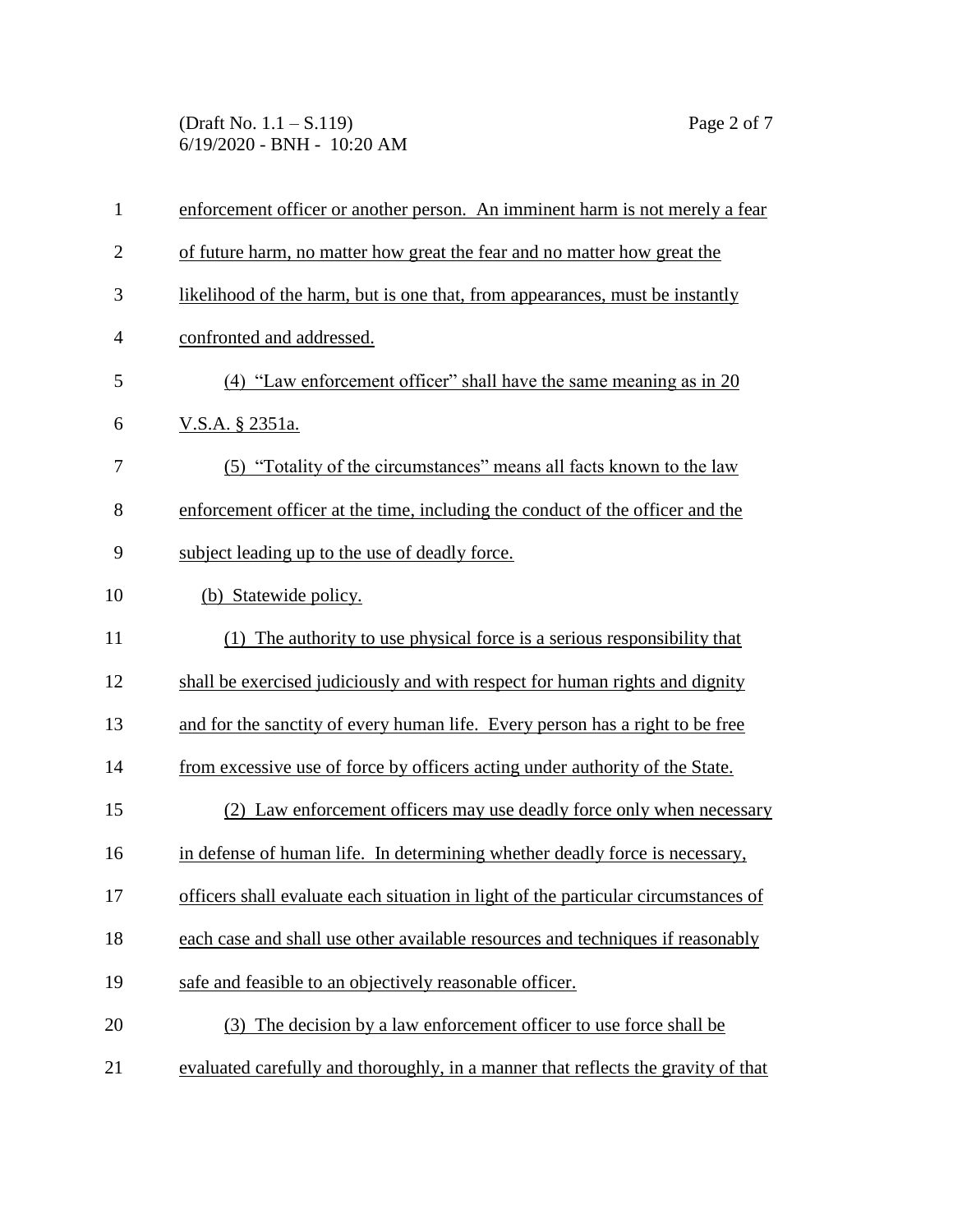(Draft No. 1.1 – S.119) Page 2 of 7 6/19/2020 - BNH - 10:20 AM

| $\mathbf{1}$   | enforcement officer or another person. An imminent harm is not merely a fear       |
|----------------|------------------------------------------------------------------------------------|
| $\overline{2}$ | of future harm, no matter how great the fear and no matter how great the           |
| 3              | likelihood of the harm, but is one that, from appearances, must be instantly       |
| $\overline{4}$ | confronted and addressed.                                                          |
| 5              | $(4)$ "Law enforcement officer" shall have the same meaning as in 20               |
| 6              | V.S.A. § 2351a.                                                                    |
| 7              | (5) "Totality of the circumstances" means all facts known to the law               |
| 8              | enforcement officer at the time, including the conduct of the officer and the      |
| 9              | subject leading up to the use of deadly force.                                     |
| 10             | (b) Statewide policy.                                                              |
| 11             | (1) The authority to use physical force is a serious responsibility that           |
| 12             | shall be exercised judiciously and with respect for human rights and dignity       |
| 13             | and for the sanctity of every human life. Every person has a right to be free      |
| 14             | from excessive use of force by officers acting under authority of the State.       |
| 15             | (2) Law enforcement officers may use deadly force only when necessary              |
| 16             | in defense of human life. In determining whether deadly force is necessary,        |
| 17             | officers shall evaluate each situation in light of the particular circumstances of |
| 18             | each case and shall use other available resources and techniques if reasonably     |
| 19             | safe and feasible to an objectively reasonable officer.                            |
| 20             | (3) The decision by a law enforcement officer to use force shall be                |
| 21             | evaluated carefully and thoroughly, in a manner that reflects the gravity of that  |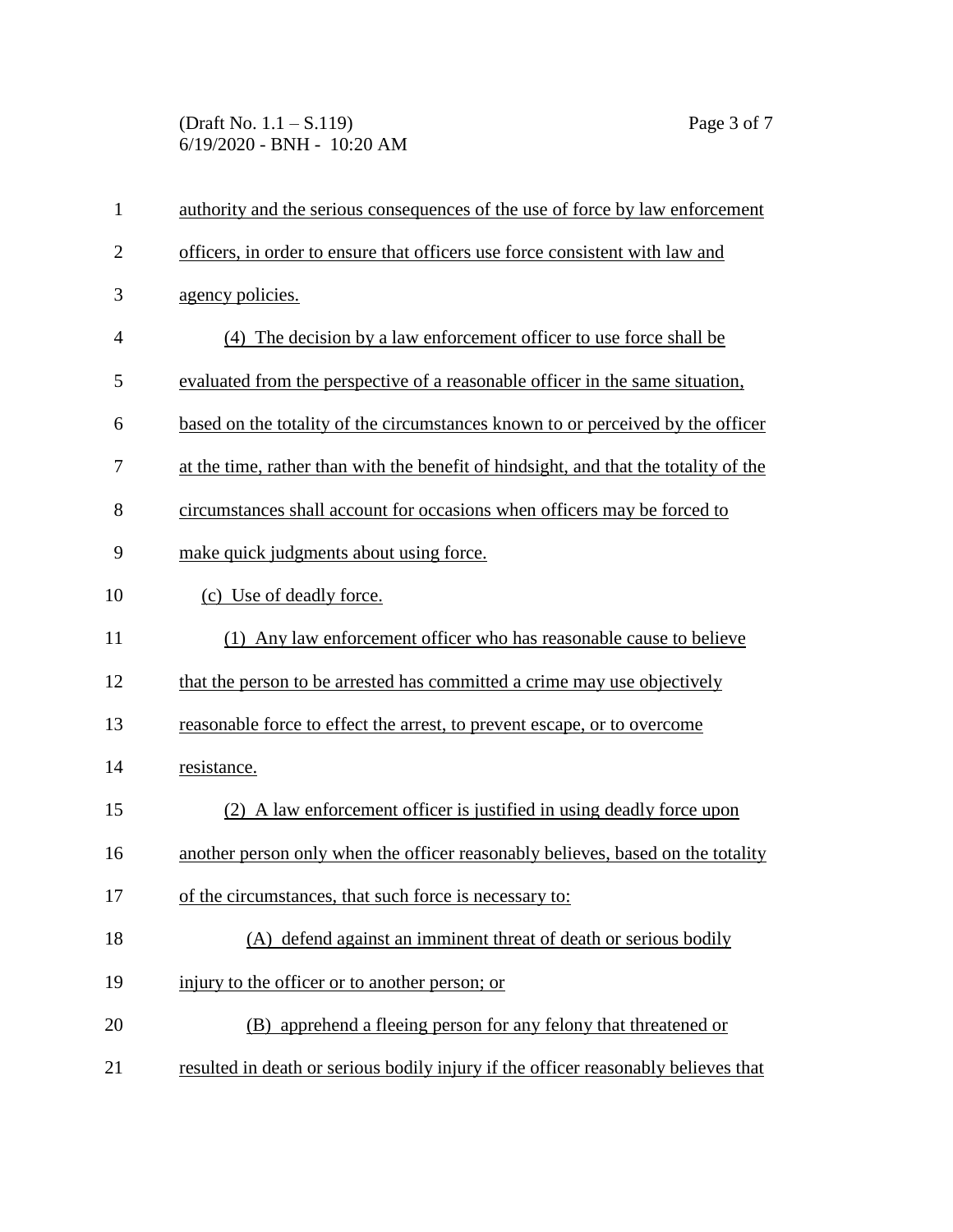(Draft No. 1.1 – S.119) Page 3 of 7 6/19/2020 - BNH - 10:20 AM

| $\mathbf{1}$   | authority and the serious consequences of the use of force by law enforcement        |
|----------------|--------------------------------------------------------------------------------------|
| $\overline{2}$ | officers, in order to ensure that officers use force consistent with law and         |
| 3              | agency policies.                                                                     |
| $\overline{4}$ | (4) The decision by a law enforcement officer to use force shall be                  |
| 5              | evaluated from the perspective of a reasonable officer in the same situation,        |
| 6              | based on the totality of the circumstances known to or perceived by the officer      |
| 7              | at the time, rather than with the benefit of hindsight, and that the totality of the |
| 8              | circumstances shall account for occasions when officers may be forced to             |
| 9              | make quick judgments about using force.                                              |
| 10             | (c) Use of deadly force.                                                             |
| 11             | (1) Any law enforcement officer who has reasonable cause to believe                  |
| 12             | that the person to be arrested has committed a crime may use objectively             |
| 13             | reasonable force to effect the arrest, to prevent escape, or to overcome             |
| 14             | resistance.                                                                          |
| 15             | (2) A law enforcement officer is justified in using deadly force upon                |
| 16             | another person only when the officer reasonably believes, based on the totality      |
| 17             | of the circumstances, that such force is necessary to:                               |
| 18             | (A) defend against an imminent threat of death or serious bodily                     |
| 19             | injury to the officer or to another person; or                                       |
| 20             | (B) apprehend a fleeing person for any felony that threatened or                     |
| 21             | resulted in death or serious bodily injury if the officer reasonably believes that   |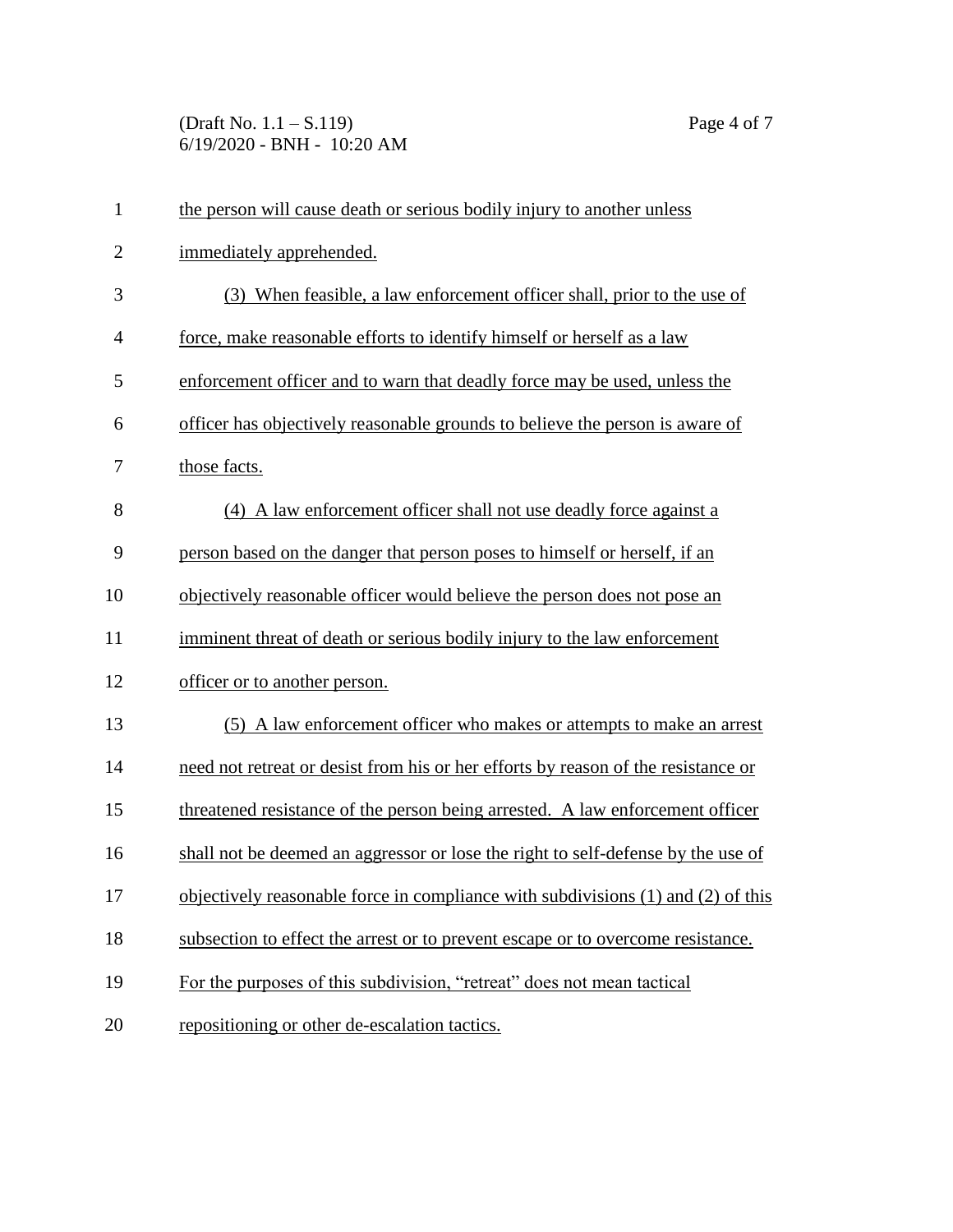(Draft No. 1.1 – S.119) Page 4 of 7 6/19/2020 - BNH - 10:20 AM

| $\mathbf{1}$   | the person will cause death or serious bodily injury to another unless            |
|----------------|-----------------------------------------------------------------------------------|
| $\overline{2}$ | immediately apprehended.                                                          |
| 3              | (3) When feasible, a law enforcement officer shall, prior to the use of           |
| 4              | force, make reasonable efforts to identify himself or herself as a law            |
| 5              | enforcement officer and to warn that deadly force may be used, unless the         |
| 6              | officer has objectively reasonable grounds to believe the person is aware of      |
| 7              | those facts.                                                                      |
| 8              | (4) A law enforcement officer shall not use deadly force against a                |
| 9              | person based on the danger that person poses to himself or herself, if an         |
| 10             | objectively reasonable officer would believe the person does not pose an          |
| 11             | imminent threat of death or serious bodily injury to the law enforcement          |
| 12             | officer or to another person.                                                     |
| 13             | (5) A law enforcement officer who makes or attempts to make an arrest             |
| 14             | need not retreat or desist from his or her efforts by reason of the resistance or |
| 15             | threatened resistance of the person being arrested. A law enforcement officer     |
| 16             | shall not be deemed an aggressor or lose the right to self-defense by the use of  |
| 17             | objectively reasonable force in compliance with subdivisions (1) and (2) of this  |
| 18             | subsection to effect the arrest or to prevent escape or to overcome resistance.   |
| 19             | For the purposes of this subdivision, "retreat" does not mean tactical            |
| 20             | repositioning or other de-escalation tactics.                                     |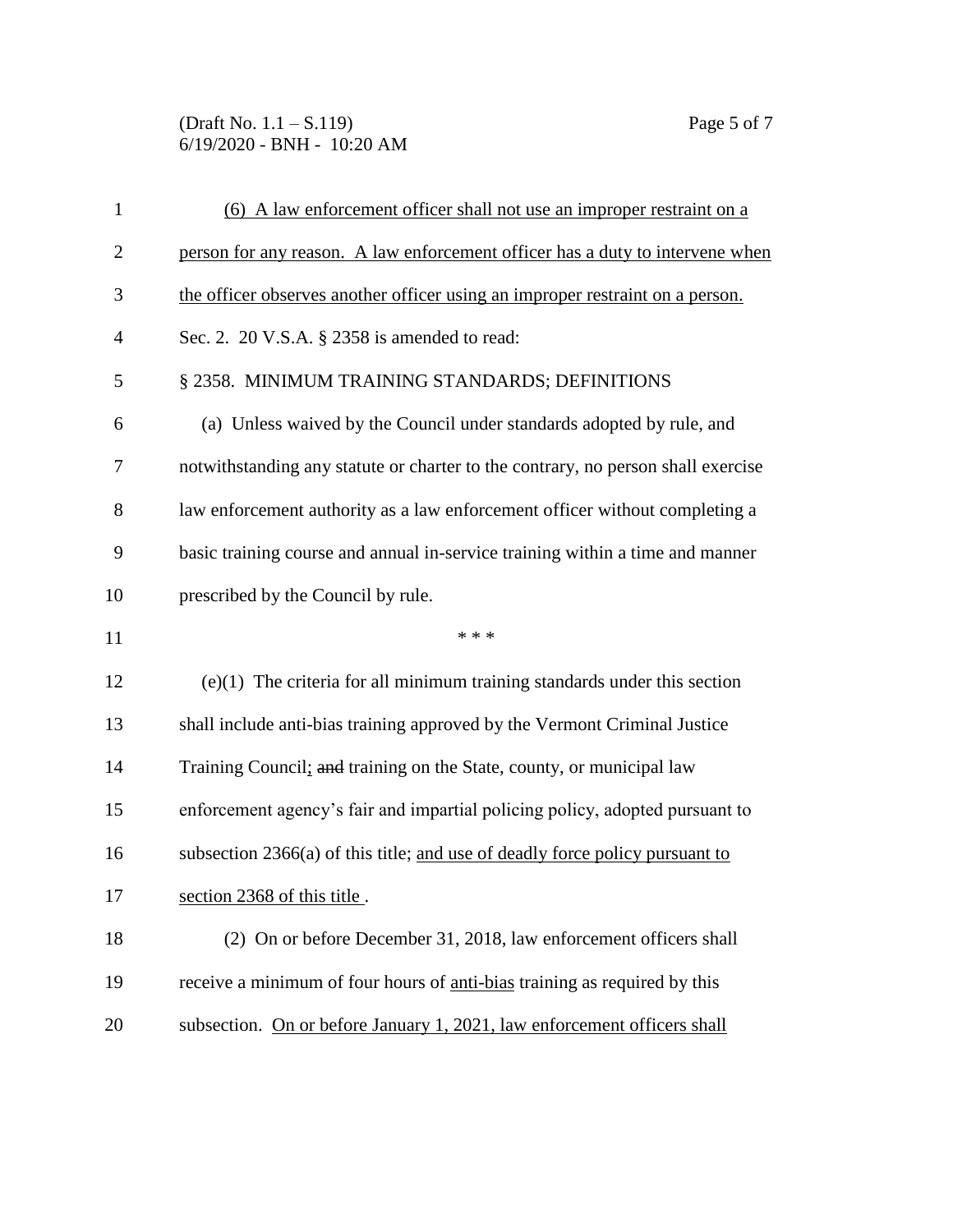(Draft No. 1.1 – S.119) Page 5 of 7 6/19/2020 - BNH - 10:20 AM

| $\mathbf{1}$   | (6) A law enforcement officer shall not use an improper restraint on a           |
|----------------|----------------------------------------------------------------------------------|
| $\overline{2}$ | person for any reason. A law enforcement officer has a duty to intervene when    |
| 3              | the officer observes another officer using an improper restraint on a person.    |
| $\overline{4}$ | Sec. 2. 20 V.S.A. § 2358 is amended to read:                                     |
| 5              | § 2358. MINIMUM TRAINING STANDARDS; DEFINITIONS                                  |
| 6              | (a) Unless waived by the Council under standards adopted by rule, and            |
| 7              | notwithstanding any statute or charter to the contrary, no person shall exercise |
| 8              | law enforcement authority as a law enforcement officer without completing a      |
| 9              | basic training course and annual in-service training within a time and manner    |
| 10             | prescribed by the Council by rule.                                               |
| 11             | * * *                                                                            |
| 12             | $(e)(1)$ The criteria for all minimum training standards under this section      |
| 13             | shall include anti-bias training approved by the Vermont Criminal Justice        |
| 14             | Training Council; and training on the State, county, or municipal law            |
| 15             | enforcement agency's fair and impartial policing policy, adopted pursuant to     |
| 16             | subsection 2366(a) of this title; and use of deadly force policy pursuant to     |
| 17             | section 2368 of this title                                                       |
| 18             | (2) On or before December 31, 2018, law enforcement officers shall               |
| 19             | receive a minimum of four hours of anti-bias training as required by this        |
| 20             | subsection. On or before January 1, 2021, law enforcement officers shall         |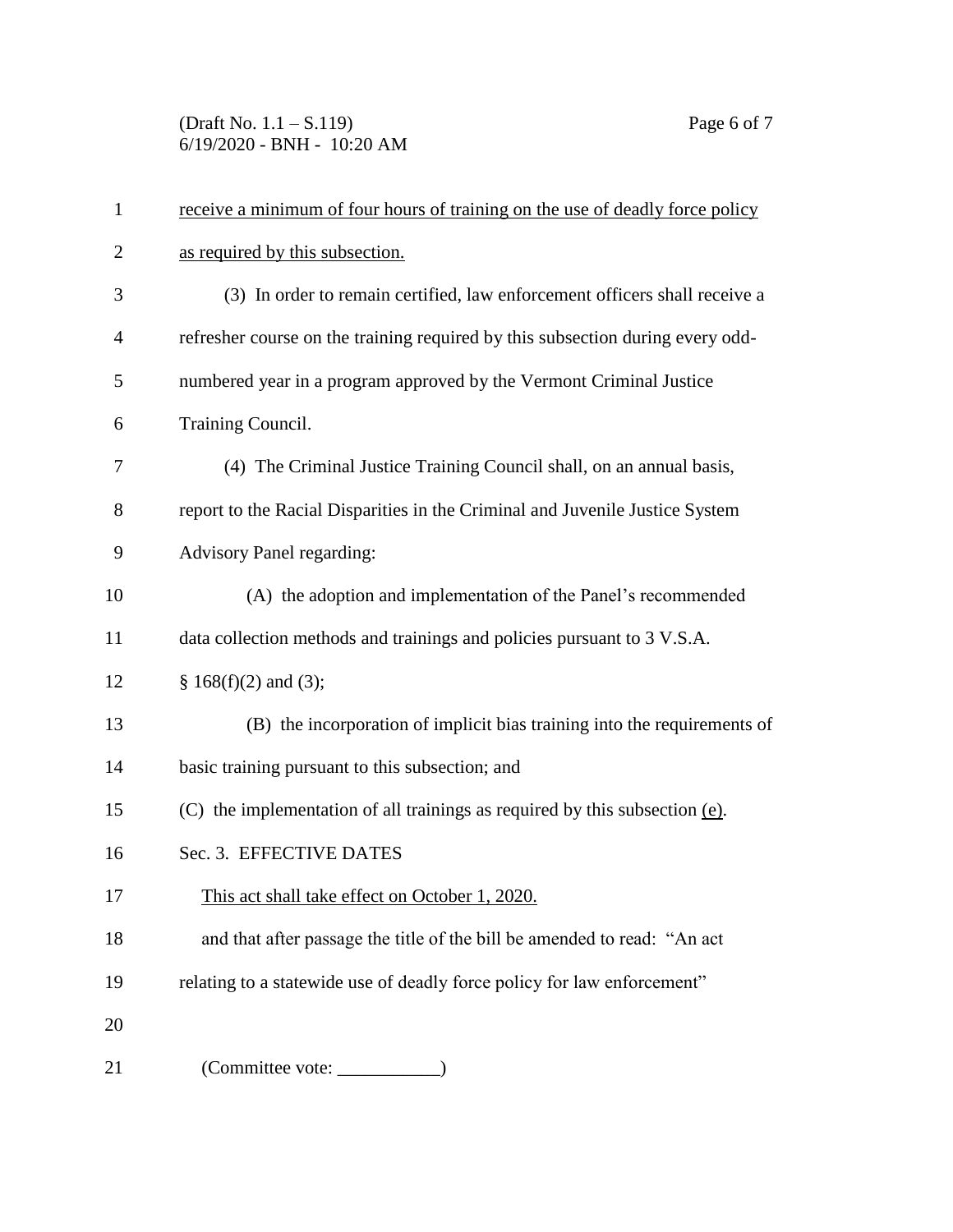(Draft No. 1.1 – S.119) Page 6 of 7 6/19/2020 - BNH - 10:20 AM

| $\mathbf{1}$   | receive a minimum of four hours of training on the use of deadly force policy  |
|----------------|--------------------------------------------------------------------------------|
| $\overline{2}$ | as required by this subsection.                                                |
| 3              | (3) In order to remain certified, law enforcement officers shall receive a     |
| 4              | refresher course on the training required by this subsection during every odd- |
| 5              | numbered year in a program approved by the Vermont Criminal Justice            |
| 6              | Training Council.                                                              |
| 7              | (4) The Criminal Justice Training Council shall, on an annual basis,           |
| 8              | report to the Racial Disparities in the Criminal and Juvenile Justice System   |
| 9              | <b>Advisory Panel regarding:</b>                                               |
| 10             | (A) the adoption and implementation of the Panel's recommended                 |
| 11             | data collection methods and trainings and policies pursuant to 3 V.S.A.        |
| 12             | $§$ 168(f)(2) and (3);                                                         |
| 13             | (B) the incorporation of implicit bias training into the requirements of       |
| 14             | basic training pursuant to this subsection; and                                |
| 15             | (C) the implementation of all trainings as required by this subsection $(e)$ . |
| 16             | Sec. 3. EFFECTIVE DATES                                                        |
| 17             | This act shall take effect on October 1, 2020.                                 |
| 18             | and that after passage the title of the bill be amended to read: "An act       |
| 19             | relating to a statewide use of deadly force policy for law enforcement"        |
| 20             |                                                                                |
| 21             | (Committee vote: ___________                                                   |